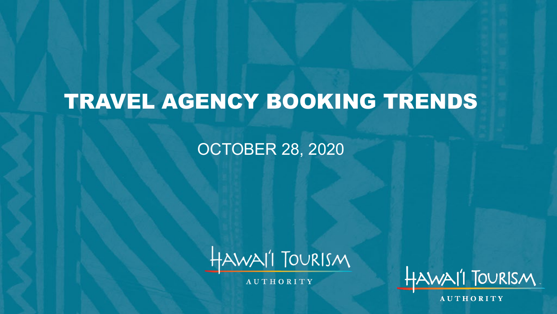# TRAVEL AGENCY BOOKING TRENDS

#### OCTOBER 28, 2020



**AUTHORITY** 



**AUTHORITY**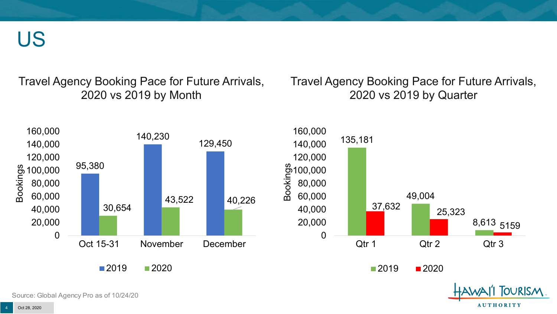US

Travel Agency Booking Pace for Future Arrivals, 2020 vs 2019 by Month

Travel Agency Booking Pace for Future Arrivals, 2021 vs 2020 by Quarter



Source: Global Agency Pro as of 10/24/20

**AUTHORITY**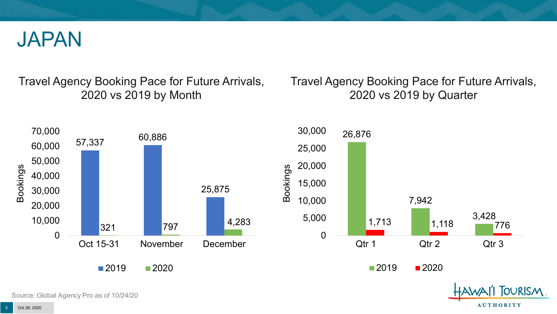

Travel Agency Booking Pace for Future Arrivals, 2020 vs 2019 by Month

Travel Agency Booking Pace for Future Arrivals, 2021 vs 2020 by Quarter

**AUTHORITY** 



Source: Global Agency Pro as of 10/24/20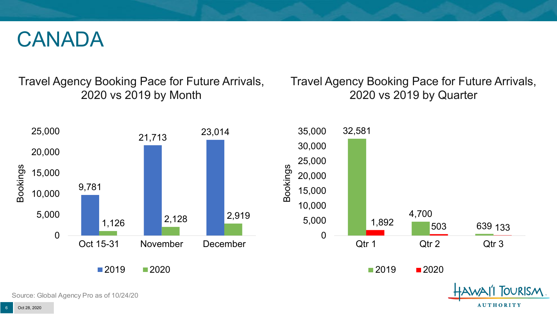#### CANADA

Travel Agency Booking Pace for Future Arrivals, 2020 vs 2019 by Month

Travel Agency Booking Pace for Future Arrivals, 2021 vs 2020 by Quarter



**AUTHORITY**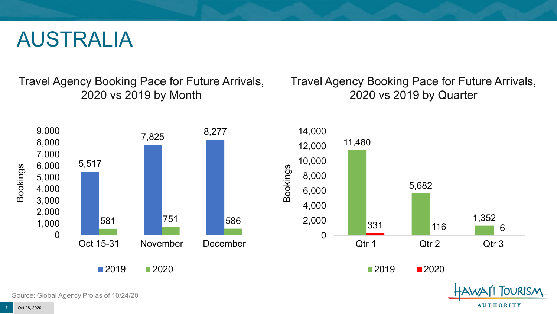#### AUSTRALIA

Travel Agency Booking Pace for Future Arrivals, 2020 vs 2019 by Month

Travel Agency Booking Pace for Future Arrivals, 2021 vs 2020 by Quarter

**AUTHORITY** 



Source: Global Agency Pro as of 10/24/20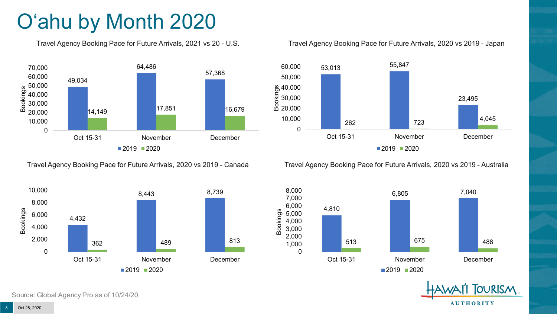# O'ahu by Month 2020

Travel Agency Booking Pace for Future Arrivals, 2021 vs 20 - U.S.



Travel Agency Booking Pace for Future Arrivals, 2020 vs 2019 - Canada



Travel Agency Booking Pace for Future Arrivals, 2020 vs 2019 - Japan



Travel Agency Booking Pace for Future Arrivals, 2020 vs 2019 - Australia



TOURISM. **AUTHORITY** 

Source: Global Agency Pro as of 10/24/20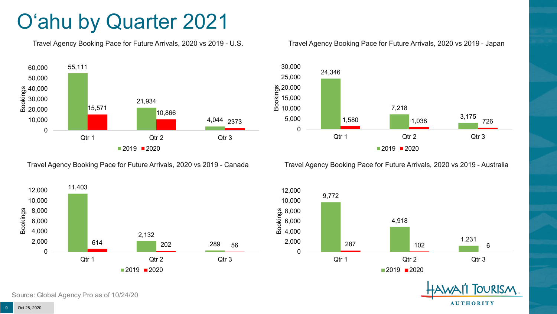### O'ahu by Quarter 2021

Travel Agency Booking Pace for Future Arrivals, 2021 vs 2020 - U.S.



Travel Agency Booking Pace for Future Arrivals, 2021 vs 2020 - Canada



Travel Agency Booking Pace for Future Arrivals, 2021 vs 2020 - Japan



Travel Agency Booking Pace for Future Arrivals, 2021 vs 2020 - Australia





Source: Global Agency Pro as of 10/24/20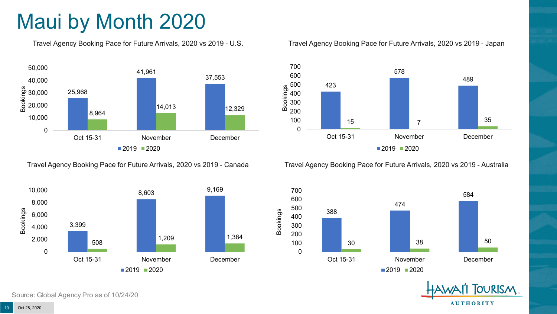# Maui by Month 2020

Travel Agency Booking Pace for Future Arrivals, 2020 vs 2019 - U.S.



Travel Agency Booking Pace for Future Arrivals, 2020 vs 2019 - Canada



Source: Global Agency Pro as of 10/24/20

#### Travel Agency Booking Pace for Future Arrivals, 2020 vs 2019 - Japan



Travel Agency Booking Pace for Future Arrivals, 2020 vs 2019 - Australia



**TOURISM AUTHORITY** 

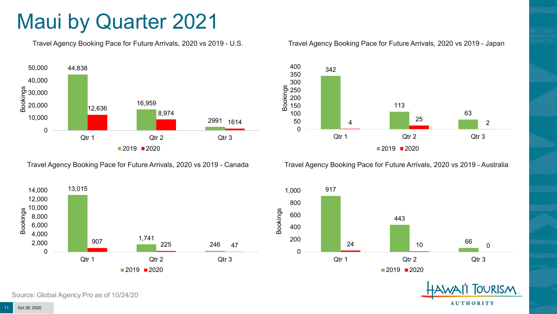#### Maui by Quarter 2021

Travel Agency Booking Pace for Future Arrivals, 2021 vs 2020 - U.S.



Travel Agency Booking Pace for Future Arrivals, 2021 vs 2020 - Canada



Travel Agency Booking Pace for Future Arrivals, 2021 vs 2020 - Japan



Travel Agency Booking Pace for Future Arrivals, 2021 vs 2020 - Australia



**TOURISM AUTHORITY** 

Source: Global Agency Pro as of 10/24/20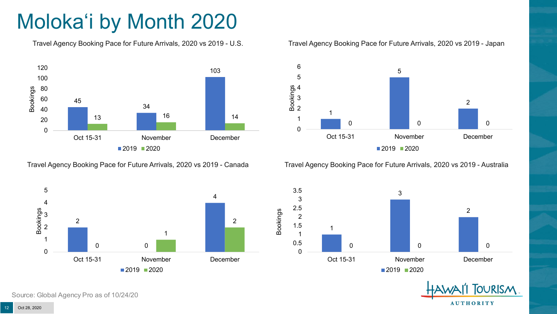# Moloka'i by Month 2020

Travel Agency Booking Pace for Future Arrivals, 2020 vs 2019 - U.S.



Travel Agency Booking Pace for Future Arrivals, 2020 vs 2019 - Canada



Travel Agency Booking Pace for Future Arrivals, 2020 vs 2019 - Japan



Travel Agency Booking Pace for Future Arrivals, 2020 vs 2019 - Australia





**TOURISM AUTHORITY** 

Source: Global Agency Pro as of 10/24/20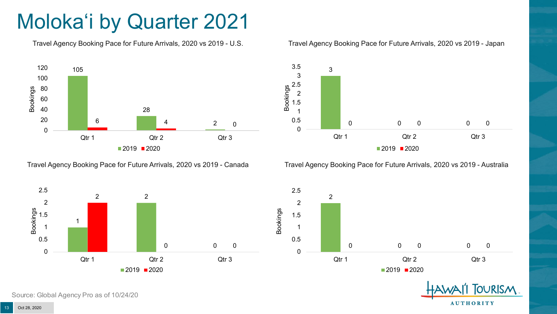# Moloka'i by Quarter 2021

Travel Agency Booking Pace for Future Arrivals, 2021 vs 2020 - U.S.



Travel Agency Booking Pace for Future Arrivals, 2021 vs 2020 - Canada





Travel Agency Booking Pace for Future Arrivals, 2021 vs 2020 - Australia





**TOURISM AUTHORITY** 

Source: Global Agency Pro as of 10/24/20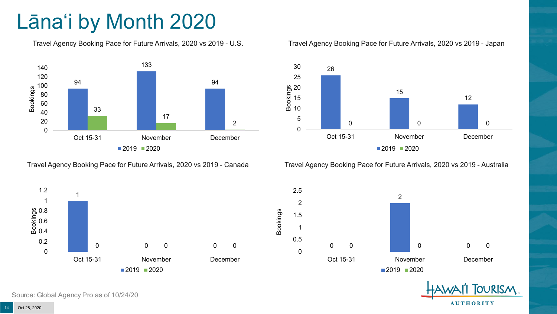# Lāna'i by Month 2020

Travel Agency Booking Pace for Future Arrivals, 2020 vs 2019 - U.S.



Travel Agency Booking Pace for Future Arrivals, 2020 vs 2019 - Canada





Travel Agency Booking Pace for Future Arrivals, 2020 vs 2019 - Australia



 $\Omega$ 2 0 0 0 0 0 0.5 1 1.5 2 2.5 Oct 15-31 November December ■2019 2020

> **TOURISM AUTHORITY**

Source: Global Agency Pro as of 10/24/20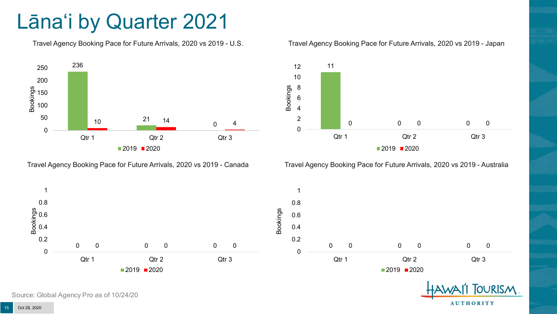### Lāna'i by Quarter 2021

Travel Agency Booking Pace for Future Arrivals, 2021 vs 2020 - U.S.



Travel Agency Booking Pace for Future Arrivals, 2021 vs 2020 - Canada





Travel Agency Booking Pace for Future Arrivals, 2021 vs 2020 - Australia





Source: Global Agency Pro as of 10/24/20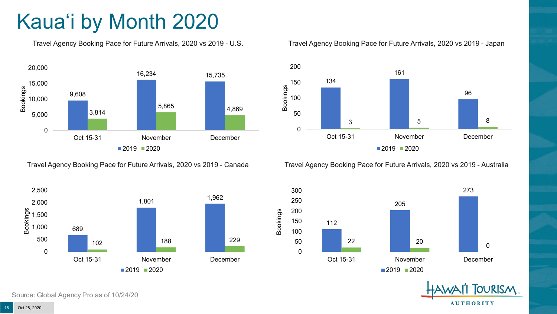# Kaua'i by Month 2020

Travel Agency Booking Pace for Future Arrivals, 2020 vs 2019 - U.S.



Travel Agency Booking Pace for Future Arrivals, 2020 vs 2019 - Canada



Source: Global Agency Pro as of 10/24/20

#### Travel Agency Booking Pace for Future Arrivals, 2020 vs 2019 - Japan



Travel Agency Booking Pace for Future Arrivals, 2020 vs 2019 - Australia



**TOURISM AUTHORITY** 

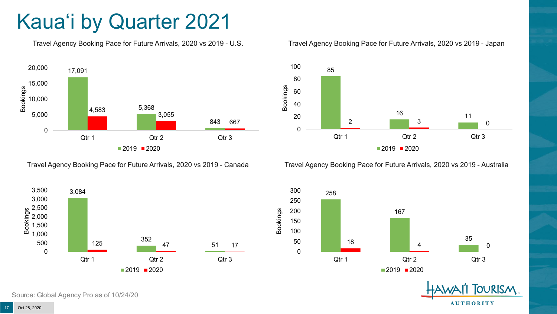# Kaua'i by Quarter 2021

Travel Agency Booking Pace for Future Arrivals, 2021 vs 2020 - U.S.



Travel Agency Booking Pace for Future Arrivals, 2021 vs 2020 - Canada





Travel Agency Booking Pace for Future Arrivals, 2021 vs 2020 - Australia



258 167 <sup>35</sup> <sup>18</sup> <sup>4</sup> <sup>0</sup> 0 50 100 150 200 250 300 Qtr 1 Qtr 2 Qtr 2 Qtr 3  $2020$  2021



Source: Global Agency Pro as of 10/24/20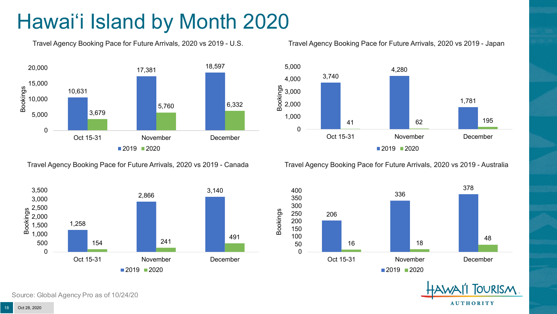# Hawai'i Island by Month 2020

Travel Agency Booking Pace for Future Arrivals, 2020 vs 2019 - U.S.



Travel Agency Booking Pace for Future Arrivals, 2020 vs 2019 - Canada



Source: Global Agency Pro as of 10/24/20

Travel Agency Booking Pace for Future Arrivals, 2020 vs 2019 - Japan



Travel Agency Booking Pace for Future Arrivals, 2020 vs 2019 - Australia



**TOURISM AUTHORITY**